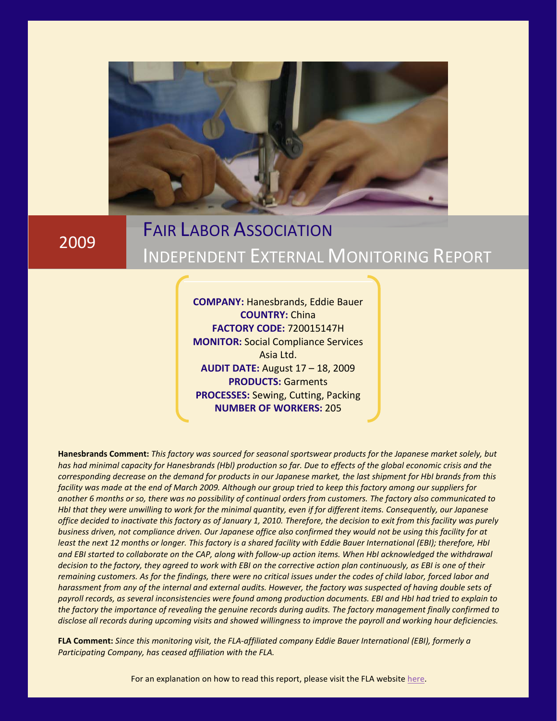

2009

# FAIR LABOR ASSOCIATION INDEPENDENT EXTERNAL MONITORING REPORT

**COMPANY:** Hanesbrands, Eddie Bauer **COUNTRY:** China **FACTORY CODE:** 720015147H **MONITOR:** Social Compliance Services Asia Ltd. **AUDIT DATE:** August 17 – 18, 2009 **PRODUCTS:** Garments **PROCESSES:** Sewing, Cutting, Packing **NUMBER OF WORKERS:** 205

**Hanesbrands Comment:** *This factory was sourced for seasonal sportswear products for the Japanese market solely, but has had minimal capacity for Hanesbrands (Hbl) production so far. Due to effects of the global economic crisis and the corresponding decrease on the demand for products in our Japanese market, the last shipment for HbI brands from this facility was made at the end of March 2009. Although our group tried to keep this factory among our suppliers for another 6 months or so, there was no possibility of continual orders from customers. The factory also communicated to HbI that they were unwilling to work for the minimal quantity, even if for different items. Consequently, our Japanese office decided to inactivate this factory as of January 1, 2010. Therefore, the decision to exit from this facility was purely business driven, not compliance driven. Our Japanese office also confirmed they would not be using this facility for at least the next 12 months or longer. This factory is a shared facility with Eddie Bauer International (EBI); therefore, HbI and EBI started to collaborate on the CAP, along with follow-up action items. When HbI acknowledged the withdrawal decision to the factory, they agreed to work with EBI on the corrective action plan continuously, as EBI is one of their remaining customers. As for the findings, there were no critical issues under the codes of child labor, forced labor and harassment from any of the internal and external audits. However, the factory was suspected of having double sets of payroll records, as several inconsistencies were found among production documents. EBI and HbI had tried to explain to the factory the importance of revealing the genuine records during audits. The factory management finally confirmed to disclose all records during upcoming visits and showed willingness to improve the payroll and working hour deficiencies.*

**FLA Comment:** *Since this monitoring visit, the FLA-affiliated company Eddie Bauer International (EBI), formerly a Participating Company, has ceased affiliation with the FLA.*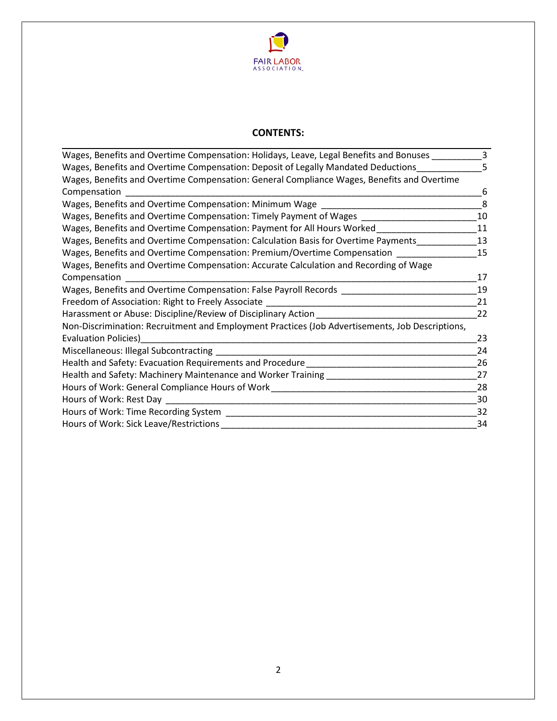

# **CONTENTS:**

| Wages, Benefits and Overtime Compensation: Holidays, Leave, Legal Benefits and Bonuses ___      | 3  |
|-------------------------------------------------------------------------------------------------|----|
| Wages, Benefits and Overtime Compensation: Deposit of Legally Mandated Deductions               | 5  |
| Wages, Benefits and Overtime Compensation: General Compliance Wages, Benefits and Overtime      |    |
| Compensation                                                                                    | 6  |
| Wages, Benefits and Overtime Compensation: Minimum Wage                                         | 8  |
| Wages, Benefits and Overtime Compensation: Timely Payment of Wages                              | 10 |
| Wages, Benefits and Overtime Compensation: Payment for All Hours Worked                         | 11 |
| Wages, Benefits and Overtime Compensation: Calculation Basis for Overtime Payments              | 13 |
| Wages, Benefits and Overtime Compensation: Premium/Overtime Compensation                        | 15 |
| Wages, Benefits and Overtime Compensation: Accurate Calculation and Recording of Wage           |    |
| Compensation                                                                                    | 17 |
| Wages, Benefits and Overtime Compensation: False Payroll Records                                | 19 |
| Freedom of Association: Right to Freely Associate _________                                     | 21 |
| Harassment or Abuse: Discipline/Review of Disciplinary Action                                   | 22 |
| Non-Discrimination: Recruitment and Employment Practices (Job Advertisements, Job Descriptions, |    |
| <b>Evaluation Policies)</b>                                                                     | 23 |
| Miscellaneous: Illegal Subcontracting                                                           | 24 |
| Health and Safety: Evacuation Requirements and Procedure                                        | 26 |
| Health and Safety: Machinery Maintenance and Worker Training                                    | 27 |
| Hours of Work: General Compliance Hours of Work                                                 | 28 |
| Hours of Work: Rest Day                                                                         | 30 |
| Hours of Work: Time Recording System                                                            | 32 |
| Hours of Work: Sick Leave/Restrictions                                                          | 34 |
|                                                                                                 |    |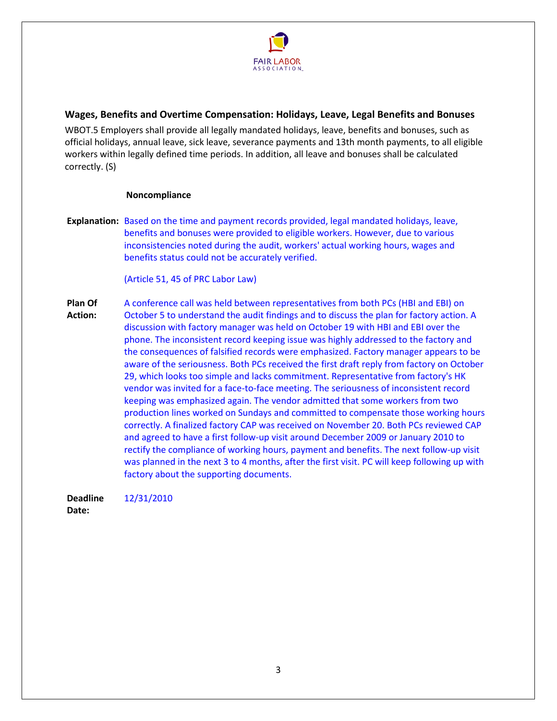

<span id="page-2-0"></span>**Wages, Benefits and Overtime Compensation: Holidays, Leave, Legal Benefits and Bonuses**

WBOT.5 Employers shall provide all legally mandated holidays, leave, benefits and bonuses, such as official holidays, annual leave, sick leave, severance payments and 13th month payments, to all eligible workers within legally defined time periods. In addition, all leave and bonuses shall be calculated correctly. (S)

#### **Noncompliance**

**Explanation:** Based on the time and payment records provided, legal mandated holidays, leave, benefits and bonuses were provided to eligible workers. However, due to various inconsistencies noted during the audit, workers' actual working hours, wages and benefits status could not be accurately verified.

(Article 51, 45 of PRC Labor Law)

**Plan Of Action:**  A conference call was held between representatives from both PCs (HBI and EBI) on October 5 to understand the audit findings and to discuss the plan for factory action. A discussion with factory manager was held on October 19 with HBI and EBI over the phone. The inconsistent record keeping issue was highly addressed to the factory and the consequences of falsified records were emphasized. Factory manager appears to be aware of the seriousness. Both PCs received the first draft reply from factory on October 29, which looks too simple and lacks commitment. Representative from factory's HK vendor was invited for a face-to-face meeting. The seriousness of inconsistent record keeping was emphasized again. The vendor admitted that some workers from two production lines worked on Sundays and committed to compensate those working hours correctly. A finalized factory CAP was received on November 20. Both PCs reviewed CAP and agreed to have a first follow-up visit around December 2009 or January 2010 to rectify the compliance of working hours, payment and benefits. The next follow-up visit was planned in the next 3 to 4 months, after the first visit. PC will keep following up with factory about the supporting documents.

**Deadline**  12/31/2010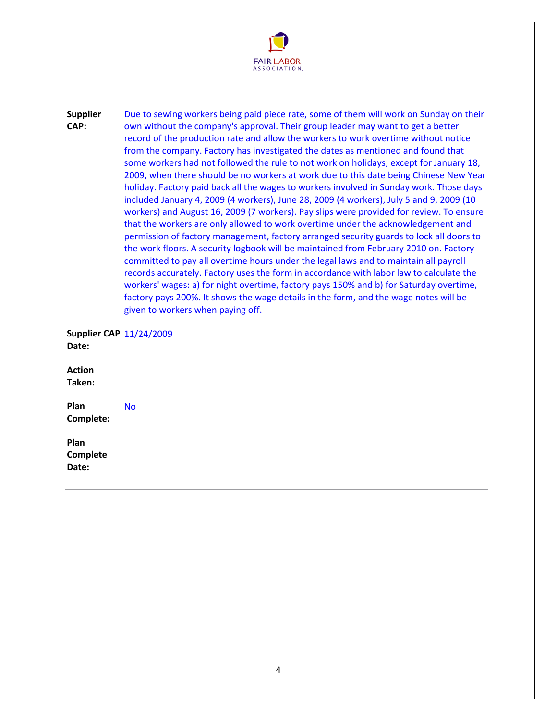

**Supplier CAP:**  Due to sewing workers being paid piece rate, some of them will work on Sunday on their own without the company's approval. Their group leader may want to get a better record of the production rate and allow the workers to work overtime without notice from the company. Factory has investigated the dates as mentioned and found that some workers had not followed the rule to not work on holidays; except for January 18, 2009, when there should be no workers at work due to this date being Chinese New Year holiday. Factory paid back all the wages to workers involved in Sunday work. Those days included January 4, 2009 (4 workers), June 28, 2009 (4 workers), July 5 and 9, 2009 (10 workers) and August 16, 2009 (7 workers). Pay slips were provided for review. To ensure that the workers are only allowed to work overtime under the acknowledgement and permission of factory management, factory arranged security guards to lock all doors to the work floors. A security logbook will be maintained from February 2010 on. Factory committed to pay all overtime hours under the legal laws and to maintain all payroll records accurately. Factory uses the form in accordance with labor law to calculate the workers' wages: a) for night overtime, factory pays 150% and b) for Saturday overtime, factory pays 200%. It shows the wage details in the form, and the wage notes will be given to workers when paying off.

**Supplier CAP**  11/24/2009 **Date:** 

**Action Taken:** 

<span id="page-3-0"></span>**Plan Complete:**  No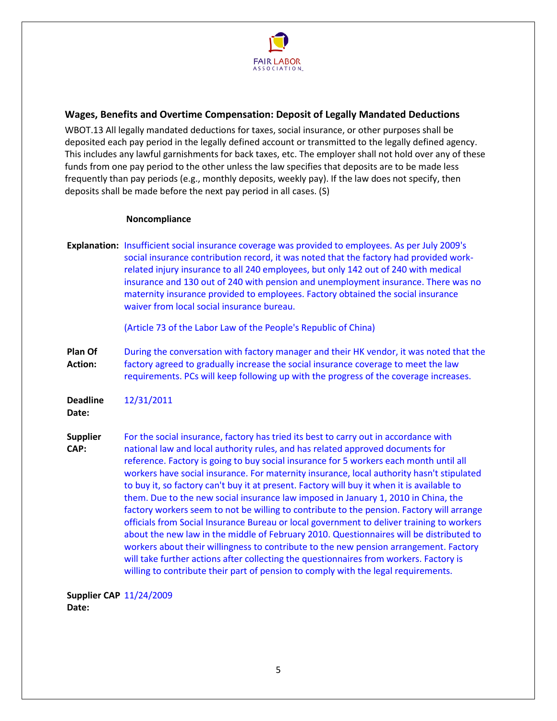

# **Wages, Benefits and Overtime Compensation: Deposit of Legally Mandated Deductions**

WBOT.13 All legally mandated deductions for taxes, social insurance, or other purposes shall be deposited each pay period in the legally defined account or transmitted to the legally defined agency. This includes any lawful garnishments for back taxes, etc. The employer shall not hold over any of these funds from one pay period to the other unless the law specifies that deposits are to be made less frequently than pay periods (e.g., monthly deposits, weekly pay). If the law does not specify, then deposits shall be made before the next pay period in all cases. (S)

#### **Noncompliance**

**Explanation:** Insufficient social insurance coverage was provided to employees. As per July 2009's social insurance contribution record, it was noted that the factory had provided workrelated injury insurance to all 240 employees, but only 142 out of 240 with medical insurance and 130 out of 240 with pension and unemployment insurance. There was no maternity insurance provided to employees. Factory obtained the social insurance waiver from local social insurance bureau.

(Article 73 of the Labor Law of the People's Republic of China)

**Plan Of Action:**  During the conversation with factory manager and their HK vendor, it was noted that the factory agreed to gradually increase the social insurance coverage to meet the law requirements. PCs will keep following up with the progress of the coverage increases.

**Deadline**  12/31/2011

**Date:** 

**Supplier CAP:**  For the social insurance, factory has tried its best to carry out in accordance with national law and local authority rules, and has related approved documents for reference. Factory is going to buy social insurance for 5 workers each month until all workers have social insurance. For maternity insurance, local authority hasn't stipulated to buy it, so factory can't buy it at present. Factory will buy it when it is available to them. Due to the new social insurance law imposed in January 1, 2010 in China, the factory workers seem to not be willing to contribute to the pension. Factory will arrange officials from Social Insurance Bureau or local government to deliver training to workers about the new law in the middle of February 2010. Questionnaires will be distributed to workers about their willingness to contribute to the new pension arrangement. Factory will take further actions after collecting the questionnaires from workers. Factory is willing to contribute their part of pension to comply with the legal requirements.

**Supplier CAP**  11/24/2009**Date:**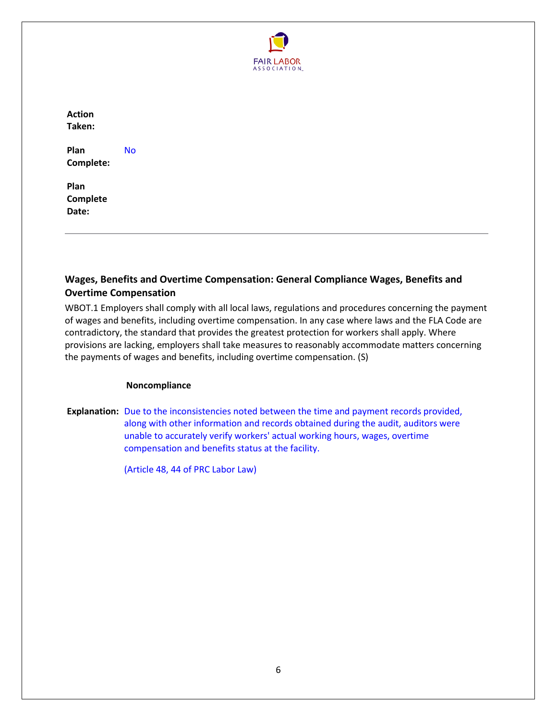

**Action Taken:** 

**Plan Complete:**  No

**Plan Complete Date:** 

# <span id="page-5-0"></span>**Wages, Benefits and Overtime Compensation: General Compliance Wages, Benefits and Overtime Compensation**

WBOT.1 Employers shall comply with all local laws, regulations and procedures concerning the payment of wages and benefits, including overtime compensation. In any case where laws and the FLA Code are contradictory, the standard that provides the greatest protection for workers shall apply. Where provisions are lacking, employers shall take measures to reasonably accommodate matters concerning the payments of wages and benefits, including overtime compensation. (S)

# **Noncompliance**

**Explanation:** Due to the inconsistencies noted between the time and payment records provided, along with other information and records obtained during the audit, auditors were unable to accurately verify workers' actual working hours, wages, overtime compensation and benefits status at the facility.

(Article 48, 44 of PRC Labor Law)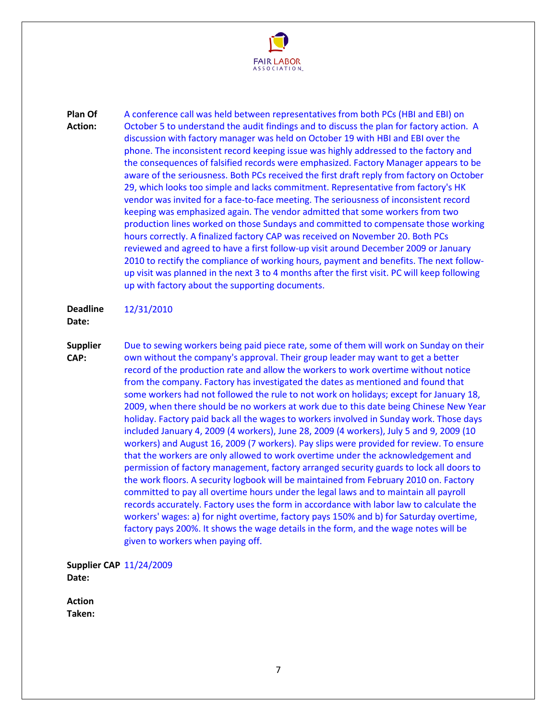

**Plan Of Action:**  A conference call was held between representatives from both PCs (HBI and EBI) on October 5 to understand the audit findings and to discuss the plan for factory action. A discussion with factory manager was held on October 19 with HBI and EBI over the phone. The inconsistent record keeping issue was highly addressed to the factory and the consequences of falsified records were emphasized. Factory Manager appears to be aware of the seriousness. Both PCs received the first draft reply from factory on October 29, which looks too simple and lacks commitment. Representative from factory's HK vendor was invited for a face-to-face meeting. The seriousness of inconsistent record keeping was emphasized again. The vendor admitted that some workers from two production lines worked on those Sundays and committed to compensate those working hours correctly. A finalized factory CAP was received on November 20. Both PCs reviewed and agreed to have a first follow-up visit around December 2009 or January 2010 to rectify the compliance of working hours, payment and benefits. The next followup visit was planned in the next 3 to 4 months after the first visit. PC will keep following up with factory about the supporting documents.

#### **Deadline**  12/31/2010

# **Date:**

**Supplier CAP:**  Due to sewing workers being paid piece rate, some of them will work on Sunday on their own without the company's approval. Their group leader may want to get a better record of the production rate and allow the workers to work overtime without notice from the company. Factory has investigated the dates as mentioned and found that some workers had not followed the rule to not work on holidays; except for January 18, 2009, when there should be no workers at work due to this date being Chinese New Year holiday. Factory paid back all the wages to workers involved in Sunday work. Those days included January 4, 2009 (4 workers), June 28, 2009 (4 workers), July 5 and 9, 2009 (10 workers) and August 16, 2009 (7 workers). Pay slips were provided for review. To ensure that the workers are only allowed to work overtime under the acknowledgement and permission of factory management, factory arranged security guards to lock all doors to the work floors. A security logbook will be maintained from February 2010 on. Factory committed to pay all overtime hours under the legal laws and to maintain all payroll records accurately. Factory uses the form in accordance with labor law to calculate the workers' wages: a) for night overtime, factory pays 150% and b) for Saturday overtime, factory pays 200%. It shows the wage details in the form, and the wage notes will be given to workers when paying off.

**Supplier CAP**  11/24/2009 **Date:** 

**Action Taken:**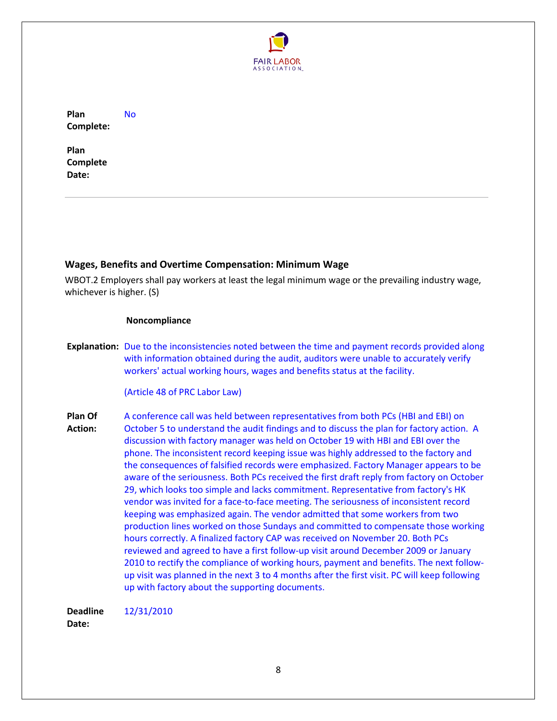

**Plan Complete:**  No

**Plan Complete Date:** 

# <span id="page-7-0"></span>**Wages, Benefits and Overtime Compensation: Minimum Wage**

WBOT.2 Employers shall pay workers at least the legal minimum wage or the prevailing industry wage, whichever is higher. (S)

#### **Noncompliance**

**Explanation:** Due to the inconsistencies noted between the time and payment records provided along with information obtained during the audit, auditors were unable to accurately verify workers' actual working hours, wages and benefits status at the facility.

(Article 48 of PRC Labor Law)

**Plan Of Action:**  A conference call was held between representatives from both PCs (HBI and EBI) on October 5 to understand the audit findings and to discuss the plan for factory action. A discussion with factory manager was held on October 19 with HBI and EBI over the phone. The inconsistent record keeping issue was highly addressed to the factory and the consequences of falsified records were emphasized. Factory Manager appears to be aware of the seriousness. Both PCs received the first draft reply from factory on October 29, which looks too simple and lacks commitment. Representative from factory's HK vendor was invited for a face-to-face meeting. The seriousness of inconsistent record keeping was emphasized again. The vendor admitted that some workers from two production lines worked on those Sundays and committed to compensate those working hours correctly. A finalized factory CAP was received on November 20. Both PCs reviewed and agreed to have a first follow-up visit around December 2009 or January 2010 to rectify the compliance of working hours, payment and benefits. The next followup visit was planned in the next 3 to 4 months after the first visit. PC will keep following up with factory about the supporting documents.

**Deadline**  12/31/2010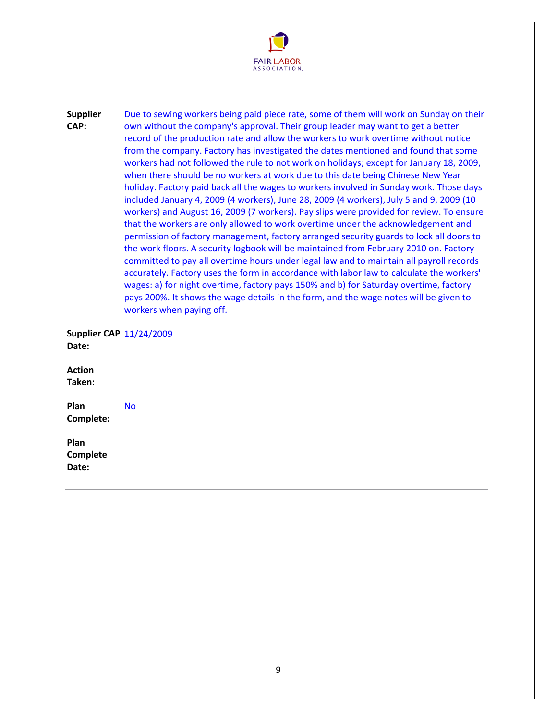

**Supplier CAP:**  Due to sewing workers being paid piece rate, some of them will work on Sunday on their own without the company's approval. Their group leader may want to get a better record of the production rate and allow the workers to work overtime without notice from the company. Factory has investigated the dates mentioned and found that some workers had not followed the rule to not work on holidays; except for January 18, 2009, when there should be no workers at work due to this date being Chinese New Year holiday. Factory paid back all the wages to workers involved in Sunday work. Those days included January 4, 2009 (4 workers), June 28, 2009 (4 workers), July 5 and 9, 2009 (10 workers) and August 16, 2009 (7 workers). Pay slips were provided for review. To ensure that the workers are only allowed to work overtime under the acknowledgement and permission of factory management, factory arranged security guards to lock all doors to the work floors. A security logbook will be maintained from February 2010 on. Factory committed to pay all overtime hours under legal law and to maintain all payroll records accurately. Factory uses the form in accordance with labor law to calculate the workers' wages: a) for night overtime, factory pays 150% and b) for Saturday overtime, factory pays 200%. It shows the wage details in the form, and the wage notes will be given to workers when paying off.

**Supplier CAP**  11/24/2009 **Date:** 

**Action Taken:** 

**Plan Complete:**  No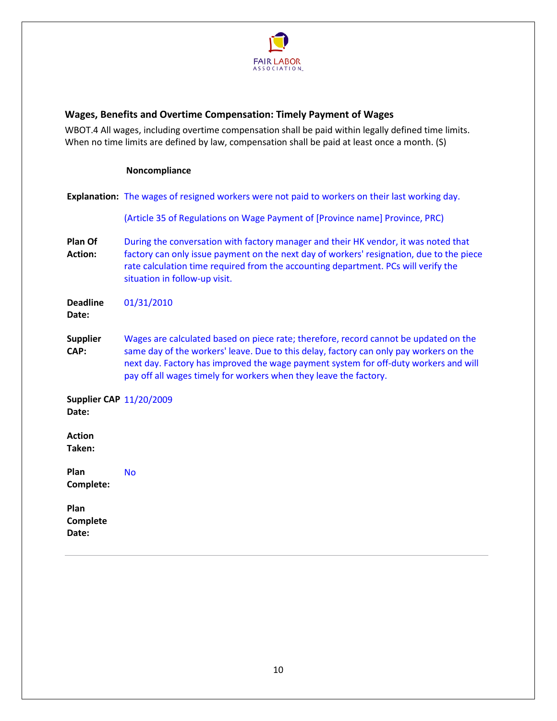

# <span id="page-9-0"></span>**Wages, Benefits and Overtime Compensation: Timely Payment of Wages**

WBOT.4 All wages, including overtime compensation shall be paid within legally defined time limits. When no time limits are defined by law, compensation shall be paid at least once a month. (S)

#### **Noncompliance**

|                                         | <b>Explanation:</b> The wages of resigned workers were not paid to workers on their last working day.                                                                                                                                                                                                                                       |
|-----------------------------------------|---------------------------------------------------------------------------------------------------------------------------------------------------------------------------------------------------------------------------------------------------------------------------------------------------------------------------------------------|
|                                         | (Article 35 of Regulations on Wage Payment of [Province name] Province, PRC)                                                                                                                                                                                                                                                                |
| Plan Of<br><b>Action:</b>               | During the conversation with factory manager and their HK vendor, it was noted that<br>factory can only issue payment on the next day of workers' resignation, due to the piece<br>rate calculation time required from the accounting department. PCs will verify the<br>situation in follow-up visit.                                      |
| <b>Deadline</b><br>Date:                | 01/31/2010                                                                                                                                                                                                                                                                                                                                  |
| <b>Supplier</b><br>CAP:                 | Wages are calculated based on piece rate; therefore, record cannot be updated on the<br>same day of the workers' leave. Due to this delay, factory can only pay workers on the<br>next day. Factory has improved the wage payment system for off-duty workers and will<br>pay off all wages timely for workers when they leave the factory. |
| <b>Supplier CAP 11/20/2009</b><br>Date: |                                                                                                                                                                                                                                                                                                                                             |
| <b>Action</b><br>Taken:                 |                                                                                                                                                                                                                                                                                                                                             |
| Plan<br>Complete:                       | <b>No</b>                                                                                                                                                                                                                                                                                                                                   |
| Plan<br>Complete<br>Date:               |                                                                                                                                                                                                                                                                                                                                             |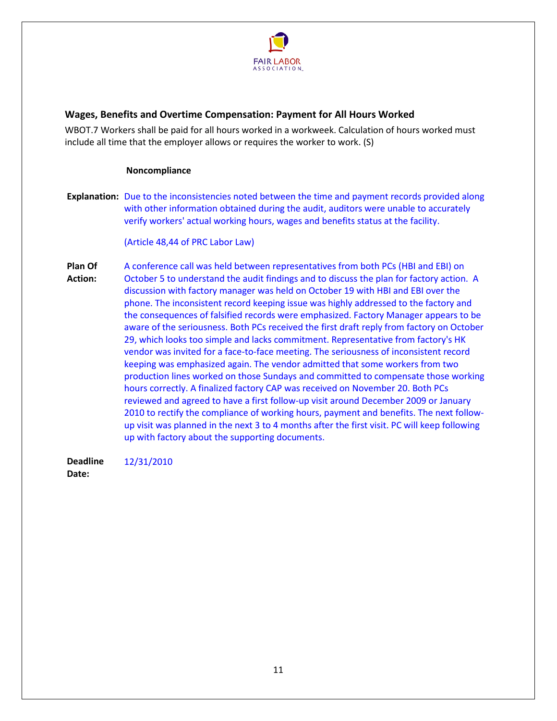

# <span id="page-10-0"></span>**Wages, Benefits and Overtime Compensation: Payment for All Hours Worked**

WBOT.7 Workers shall be paid for all hours worked in a workweek. Calculation of hours worked must include all time that the employer allows or requires the worker to work. (S)

#### **Noncompliance**

**Explanation:** Due to the inconsistencies noted between the time and payment records provided along with other information obtained during the audit, auditors were unable to accurately verify workers' actual working hours, wages and benefits status at the facility.

(Article 48,44 of PRC Labor Law)

**Plan Of Action:**  A conference call was held between representatives from both PCs (HBI and EBI) on October 5 to understand the audit findings and to discuss the plan for factory action. A discussion with factory manager was held on October 19 with HBI and EBI over the phone. The inconsistent record keeping issue was highly addressed to the factory and the consequences of falsified records were emphasized. Factory Manager appears to be aware of the seriousness. Both PCs received the first draft reply from factory on October 29, which looks too simple and lacks commitment. Representative from factory's HK vendor was invited for a face-to-face meeting. The seriousness of inconsistent record keeping was emphasized again. The vendor admitted that some workers from two production lines worked on those Sundays and committed to compensate those working hours correctly. A finalized factory CAP was received on November 20. Both PCs reviewed and agreed to have a first follow-up visit around December 2009 or January 2010 to rectify the compliance of working hours, payment and benefits. The next followup visit was planned in the next 3 to 4 months after the first visit. PC will keep following up with factory about the supporting documents.

**Deadline**  12/31/2010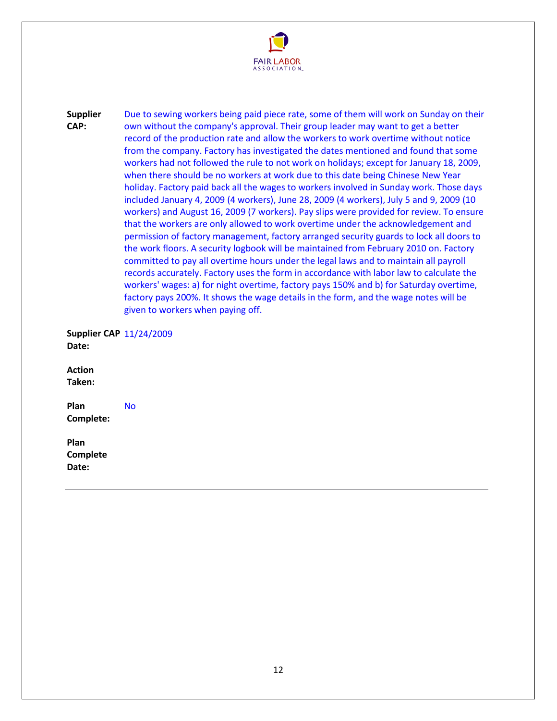

**Supplier CAP:**  Due to sewing workers being paid piece rate, some of them will work on Sunday on their own without the company's approval. Their group leader may want to get a better record of the production rate and allow the workers to work overtime without notice from the company. Factory has investigated the dates mentioned and found that some workers had not followed the rule to not work on holidays; except for January 18, 2009, when there should be no workers at work due to this date being Chinese New Year holiday. Factory paid back all the wages to workers involved in Sunday work. Those days included January 4, 2009 (4 workers), June 28, 2009 (4 workers), July 5 and 9, 2009 (10 workers) and August 16, 2009 (7 workers). Pay slips were provided for review. To ensure that the workers are only allowed to work overtime under the acknowledgement and permission of factory management, factory arranged security guards to lock all doors to the work floors. A security logbook will be maintained from February 2010 on. Factory committed to pay all overtime hours under the legal laws and to maintain all payroll records accurately. Factory uses the form in accordance with labor law to calculate the workers' wages: a) for night overtime, factory pays 150% and b) for Saturday overtime, factory pays 200%. It shows the wage details in the form, and the wage notes will be given to workers when paying off.

**Supplier CAP**  11/24/2009 **Date:** 

**Action Taken:** 

**Plan Complete:**  No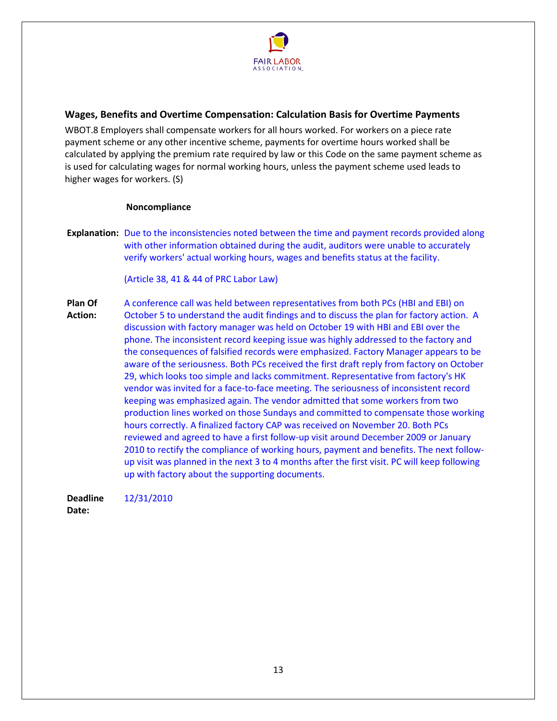

# <span id="page-12-0"></span>**Wages, Benefits and Overtime Compensation: Calculation Basis for Overtime Payments**

WBOT.8 Employers shall compensate workers for all hours worked. For workers on a piece rate payment scheme or any other incentive scheme, payments for overtime hours worked shall be calculated by applying the premium rate required by law or this Code on the same payment scheme as is used for calculating wages for normal working hours, unless the payment scheme used leads to higher wages for workers. (S)

#### **Noncompliance**

**Explanation:** Due to the inconsistencies noted between the time and payment records provided along with other information obtained during the audit, auditors were unable to accurately verify workers' actual working hours, wages and benefits status at the facility.

(Article 38, 41 & 44 of PRC Labor Law)

**Plan Of Action:**  A conference call was held between representatives from both PCs (HBI and EBI) on October 5 to understand the audit findings and to discuss the plan for factory action. A discussion with factory manager was held on October 19 with HBI and EBI over the phone. The inconsistent record keeping issue was highly addressed to the factory and the consequences of falsified records were emphasized. Factory Manager appears to be aware of the seriousness. Both PCs received the first draft reply from factory on October 29, which looks too simple and lacks commitment. Representative from factory's HK vendor was invited for a face-to-face meeting. The seriousness of inconsistent record keeping was emphasized again. The vendor admitted that some workers from two production lines worked on those Sundays and committed to compensate those working hours correctly. A finalized factory CAP was received on November 20. Both PCs reviewed and agreed to have a first follow-up visit around December 2009 or January 2010 to rectify the compliance of working hours, payment and benefits. The next followup visit was planned in the next 3 to 4 months after the first visit. PC will keep following up with factory about the supporting documents.

**Deadline**  12/31/2010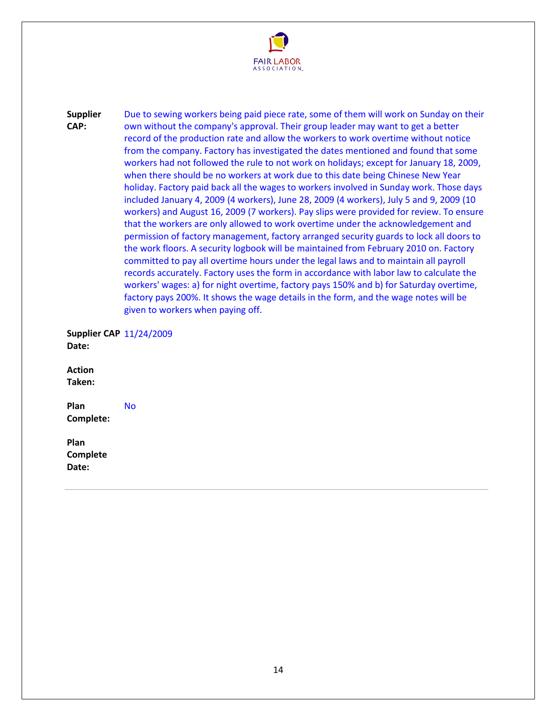

**Supplier CAP:**  Due to sewing workers being paid piece rate, some of them will work on Sunday on their own without the company's approval. Their group leader may want to get a better record of the production rate and allow the workers to work overtime without notice from the company. Factory has investigated the dates mentioned and found that some workers had not followed the rule to not work on holidays; except for January 18, 2009, when there should be no workers at work due to this date being Chinese New Year holiday. Factory paid back all the wages to workers involved in Sunday work. Those days included January 4, 2009 (4 workers), June 28, 2009 (4 workers), July 5 and 9, 2009 (10 workers) and August 16, 2009 (7 workers). Pay slips were provided for review. To ensure that the workers are only allowed to work overtime under the acknowledgement and permission of factory management, factory arranged security guards to lock all doors to the work floors. A security logbook will be maintained from February 2010 on. Factory committed to pay all overtime hours under the legal laws and to maintain all payroll records accurately. Factory uses the form in accordance with labor law to calculate the workers' wages: a) for night overtime, factory pays 150% and b) for Saturday overtime, factory pays 200%. It shows the wage details in the form, and the wage notes will be given to workers when paying off.

**Supplier CAP**  11/24/2009 **Date:** 

**Action Taken:** 

**Plan Complete:**  No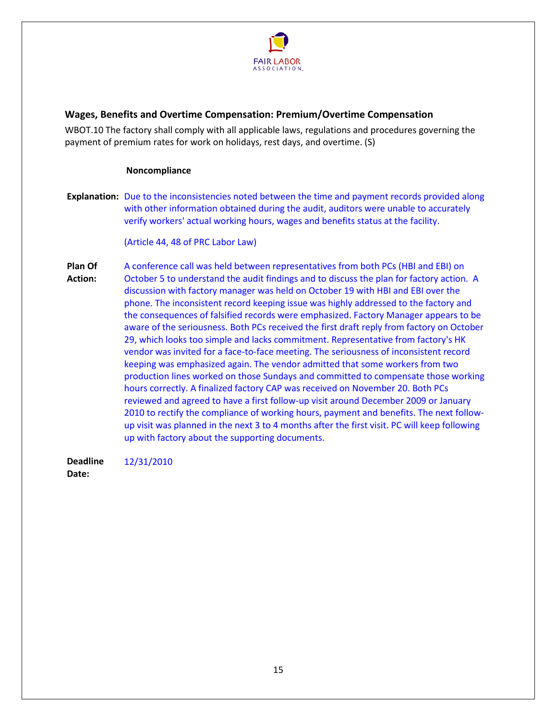

# <span id="page-14-0"></span>**Wages, Benefits and Overtime Compensation: Premium/Overtime Compensation**

WBOT.10 The factory shall comply with all applicable laws, regulations and procedures governing the payment of premium rates for work on holidays, rest days, and overtime. (S)

#### **Noncompliance**

**Explanation:** Due to the inconsistencies noted between the time and payment records provided along with other information obtained during the audit, auditors were unable to accurately verify workers' actual working hours, wages and benefits status at the facility.

(Article 44, 48 of PRC Labor Law)

**Plan Of Action:**  A conference call was held between representatives from both PCs (HBI and EBI) on October 5 to understand the audit findings and to discuss the plan for factory action. A discussion with factory manager was held on October 19 with HBI and EBI over the phone. The inconsistent record keeping issue was highly addressed to the factory and the consequences of falsified records were emphasized. Factory Manager appears to be aware of the seriousness. Both PCs received the first draft reply from factory on October 29, which looks too simple and lacks commitment. Representative from factory's HK vendor was invited for a face-to-face meeting. The seriousness of inconsistent record keeping was emphasized again. The vendor admitted that some workers from two production lines worked on those Sundays and committed to compensate those working hours correctly. A finalized factory CAP was received on November 20. Both PCs reviewed and agreed to have a first follow-up visit around December 2009 or January 2010 to rectify the compliance of working hours, payment and benefits. The next followup visit was planned in the next 3 to 4 months after the first visit. PC will keep following up with factory about the supporting documents.

**Deadline**  12/31/2010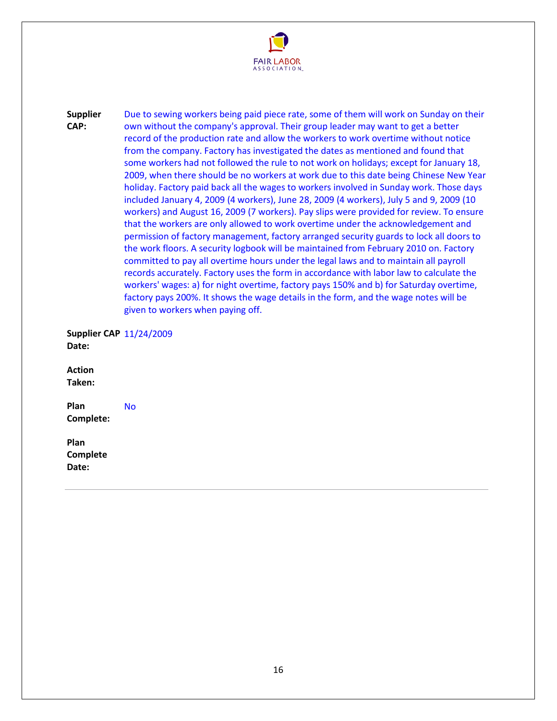

**Supplier CAP:**  Due to sewing workers being paid piece rate, some of them will work on Sunday on their own without the company's approval. Their group leader may want to get a better record of the production rate and allow the workers to work overtime without notice from the company. Factory has investigated the dates as mentioned and found that some workers had not followed the rule to not work on holidays; except for January 18, 2009, when there should be no workers at work due to this date being Chinese New Year holiday. Factory paid back all the wages to workers involved in Sunday work. Those days included January 4, 2009 (4 workers), June 28, 2009 (4 workers), July 5 and 9, 2009 (10 workers) and August 16, 2009 (7 workers). Pay slips were provided for review. To ensure that the workers are only allowed to work overtime under the acknowledgement and permission of factory management, factory arranged security guards to lock all doors to the work floors. A security logbook will be maintained from February 2010 on. Factory committed to pay all overtime hours under the legal laws and to maintain all payroll records accurately. Factory uses the form in accordance with labor law to calculate the workers' wages: a) for night overtime, factory pays 150% and b) for Saturday overtime, factory pays 200%. It shows the wage details in the form, and the wage notes will be given to workers when paying off.

**Supplier CAP**  11/24/2009 **Date:** 

**Action Taken:** 

**Plan Complete:**  No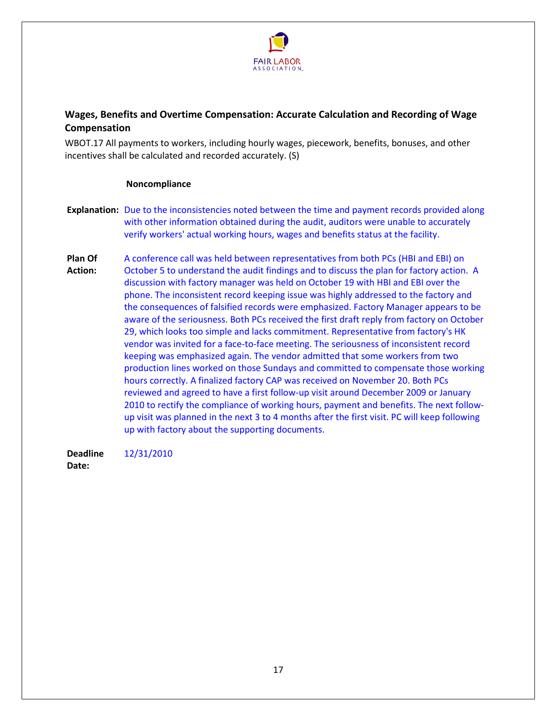

# <span id="page-16-0"></span>**Wages, Benefits and Overtime Compensation: Accurate Calculation and Recording of Wage Compensation**

WBOT.17 All payments to workers, including hourly wages, piecework, benefits, bonuses, and other incentives shall be calculated and recorded accurately. (S)

#### **Noncompliance**

- **Explanation:** Due to the inconsistencies noted between the time and payment records provided along with other information obtained during the audit, auditors were unable to accurately verify workers' actual working hours, wages and benefits status at the facility.
- **Plan Of Action:**  A conference call was held between representatives from both PCs (HBI and EBI) on October 5 to understand the audit findings and to discuss the plan for factory action. A discussion with factory manager was held on October 19 with HBI and EBI over the phone. The inconsistent record keeping issue was highly addressed to the factory and the consequences of falsified records were emphasized. Factory Manager appears to be aware of the seriousness. Both PCs received the first draft reply from factory on October 29, which looks too simple and lacks commitment. Representative from factory's HK vendor was invited for a face-to-face meeting. The seriousness of inconsistent record keeping was emphasized again. The vendor admitted that some workers from two production lines worked on those Sundays and committed to compensate those working hours correctly. A finalized factory CAP was received on November 20. Both PCs reviewed and agreed to have a first follow-up visit around December 2009 or January 2010 to rectify the compliance of working hours, payment and benefits. The next followup visit was planned in the next 3 to 4 months after the first visit. PC will keep following up with factory about the supporting documents.

**Deadline**  12/31/2010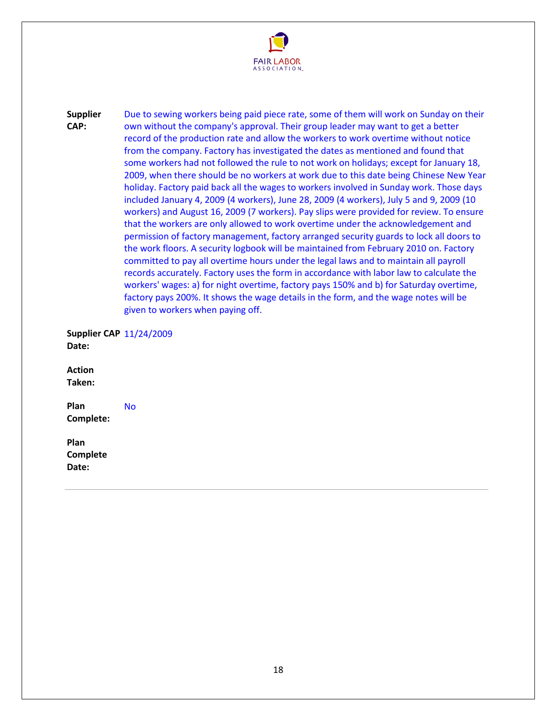

**Supplier CAP:**  Due to sewing workers being paid piece rate, some of them will work on Sunday on their own without the company's approval. Their group leader may want to get a better record of the production rate and allow the workers to work overtime without notice from the company. Factory has investigated the dates as mentioned and found that some workers had not followed the rule to not work on holidays; except for January 18, 2009, when there should be no workers at work due to this date being Chinese New Year holiday. Factory paid back all the wages to workers involved in Sunday work. Those days included January 4, 2009 (4 workers), June 28, 2009 (4 workers), July 5 and 9, 2009 (10 workers) and August 16, 2009 (7 workers). Pay slips were provided for review. To ensure that the workers are only allowed to work overtime under the acknowledgement and permission of factory management, factory arranged security guards to lock all doors to the work floors. A security logbook will be maintained from February 2010 on. Factory committed to pay all overtime hours under the legal laws and to maintain all payroll records accurately. Factory uses the form in accordance with labor law to calculate the workers' wages: a) for night overtime, factory pays 150% and b) for Saturday overtime, factory pays 200%. It shows the wage details in the form, and the wage notes will be given to workers when paying off.

**Supplier CAP**  11/24/2009 **Date:** 

**Action Taken:** 

**Plan Complete:**  No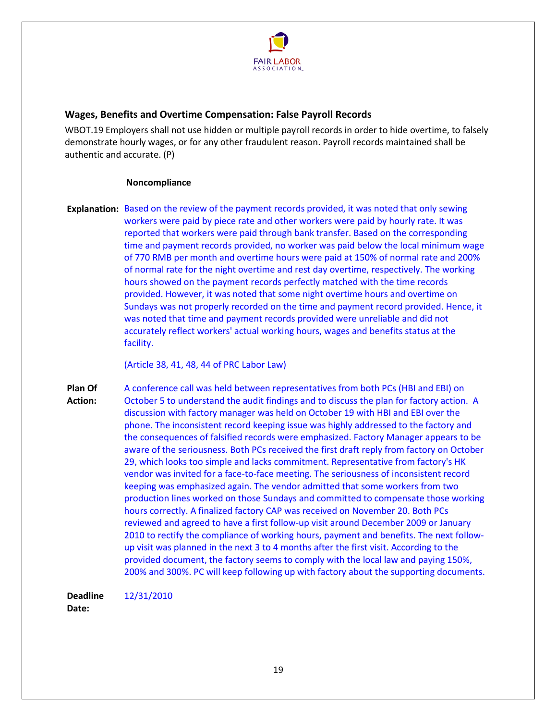

# <span id="page-18-0"></span>**Wages, Benefits and Overtime Compensation: False Payroll Records**

WBOT.19 Employers shall not use hidden or multiple payroll records in order to hide overtime, to falsely demonstrate hourly wages, or for any other fraudulent reason. Payroll records maintained shall be authentic and accurate. (P)

#### **Noncompliance**

**Explanation:** Based on the review of the payment records provided, it was noted that only sewing workers were paid by piece rate and other workers were paid by hourly rate. It was reported that workers were paid through bank transfer. Based on the corresponding time and payment records provided, no worker was paid below the local minimum wage of 770 RMB per month and overtime hours were paid at 150% of normal rate and 200% of normal rate for the night overtime and rest day overtime, respectively. The working hours showed on the payment records perfectly matched with the time records provided. However, it was noted that some night overtime hours and overtime on Sundays was not properly recorded on the time and payment record provided. Hence, it was noted that time and payment records provided were unreliable and did not accurately reflect workers' actual working hours, wages and benefits status at the facility.

(Article 38, 41, 48, 44 of PRC Labor Law)

**Plan Of Action:**  A conference call was held between representatives from both PCs (HBI and EBI) on October 5 to understand the audit findings and to discuss the plan for factory action. A discussion with factory manager was held on October 19 with HBI and EBI over the phone. The inconsistent record keeping issue was highly addressed to the factory and the consequences of falsified records were emphasized. Factory Manager appears to be aware of the seriousness. Both PCs received the first draft reply from factory on October 29, which looks too simple and lacks commitment. Representative from factory's HK vendor was invited for a face-to-face meeting. The seriousness of inconsistent record keeping was emphasized again. The vendor admitted that some workers from two production lines worked on those Sundays and committed to compensate those working hours correctly. A finalized factory CAP was received on November 20. Both PCs reviewed and agreed to have a first follow-up visit around December 2009 or January 2010 to rectify the compliance of working hours, payment and benefits. The next followup visit was planned in the next 3 to 4 months after the first visit. According to the provided document, the factory seems to comply with the local law and paying 150%, 200% and 300%. PC will keep following up with factory about the supporting documents.

**Deadline**  12/31/2010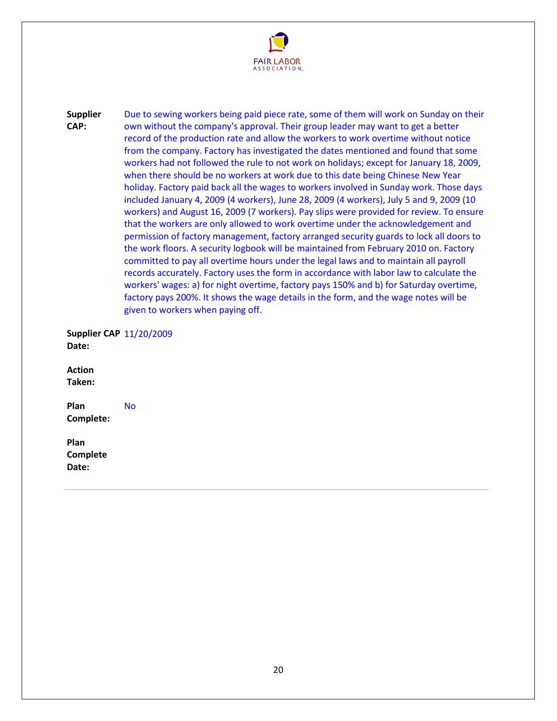

**Supplier CAP:**  Due to sewing workers being paid piece rate, some of them will work on Sunday on their own without the company's approval. Their group leader may want to get a better record of the production rate and allow the workers to work overtime without notice from the company. Factory has investigated the dates mentioned and found that some workers had not followed the rule to not work on holidays; except for January 18, 2009, when there should be no workers at work due to this date being Chinese New Year holiday. Factory paid back all the wages to workers involved in Sunday work. Those days included January 4, 2009 (4 workers), June 28, 2009 (4 workers), July 5 and 9, 2009 (10 workers) and August 16, 2009 (7 workers). Pay slips were provided for review. To ensure that the workers are only allowed to work overtime under the acknowledgement and permission of factory management, factory arranged security guards to lock all doors to the work floors. A security logbook will be maintained from February 2010 on. Factory committed to pay all overtime hours under the legal laws and to maintain all payroll records accurately. Factory uses the form in accordance with labor law to calculate the workers' wages: a) for night overtime, factory pays 150% and b) for Saturday overtime, factory pays 200%. It shows the wage details in the form, and the wage notes will be given to workers when paying off.

**Supplier CAP**  11/20/2009 **Date:** 

**Action Taken:** 

**Plan Complete:**  No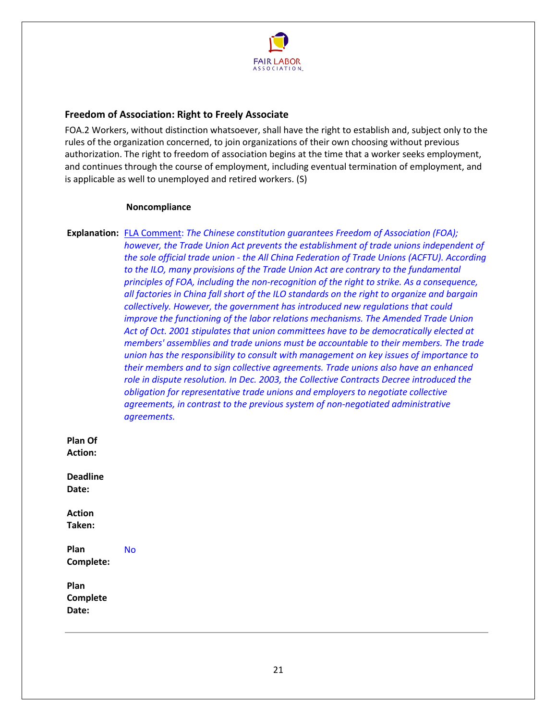

# <span id="page-20-0"></span>**Freedom of Association: Right to Freely Associate**

FOA.2 Workers, without distinction whatsoever, shall have the right to establish and, subject only to the rules of the organization concerned, to join organizations of their own choosing without previous authorization. The right to freedom of association begins at the time that a worker seeks employment, and continues through the course of employment, including eventual termination of employment, and is applicable as well to unemployed and retired workers. (S)

#### **Noncompliance**

**Explanation:** FLA Comment: *The Chinese constitution guarantees Freedom of Association (FOA); however, the Trade Union Act prevents the establishment of trade unions independent of the sole official trade union - the All China Federation of Trade Unions (ACFTU). According to the ILO, many provisions of the Trade Union Act are contrary to the fundamental principles of FOA, including the non-recognition of the right to strike. As a consequence, all factories in China fall short of the ILO standards on the right to organize and bargain collectively. However, the government has introduced new regulations that could improve the functioning of the labor relations mechanisms. The Amended Trade Union Act of Oct. 2001 stipulates that union committees have to be democratically elected at members' assemblies and trade unions must be accountable to their members. The trade union has the responsibility to consult with management on key issues of importance to their members and to sign collective agreements. Trade unions also have an enhanced role in dispute resolution. In Dec. 2003, the Collective Contracts Decree introduced the obligation for representative trade unions and employers to negotiate collective agreements, in contrast to the previous system of non-negotiated administrative agreements.*

**Plan Of Action:** 

**Deadline Date:** 

**Action Taken:** 

**Plan Complete:**  No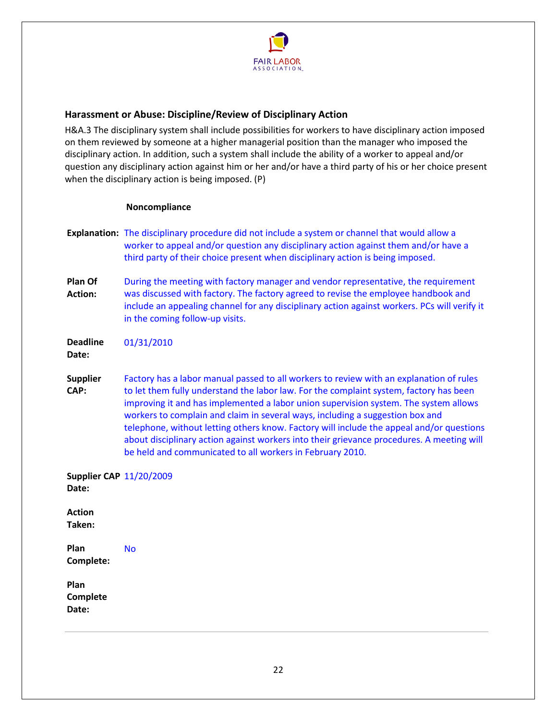

# <span id="page-21-0"></span>**Harassment or Abuse: Discipline/Review of Disciplinary Action**

H&A.3 The disciplinary system shall include possibilities for workers to have disciplinary action imposed on them reviewed by someone at a higher managerial position than the manager who imposed the disciplinary action. In addition, such a system shall include the ability of a worker to appeal and/or question any disciplinary action against him or her and/or have a third party of his or her choice present when the disciplinary action is being imposed. (P)

#### **Noncompliance**

- **Explanation:** The disciplinary procedure did not include a system or channel that would allow a worker to appeal and/or question any disciplinary action against them and/or have a third party of their choice present when disciplinary action is being imposed.
- **Plan Of Action:**  During the meeting with factory manager and vendor representative, the requirement was discussed with factory. The factory agreed to revise the employee handbook and include an appealing channel for any disciplinary action against workers. PCs will verify it in the coming follow-up visits.

**Deadline**  01/31/2010

**Date:** 

**Supplier CAP:**  Factory has a labor manual passed to all workers to review with an explanation of rules to let them fully understand the labor law. For the complaint system, factory has been improving it and has implemented a labor union supervision system. The system allows workers to complain and claim in several ways, including a suggestion box and telephone, without letting others know. Factory will include the appeal and/or questions about disciplinary action against workers into their grievance procedures. A meeting will be held and communicated to all workers in February 2010.

**Supplier CAP**  11/20/2009 **Date: Action Taken: Plan Complete:**  No **Plan** 

**Complete Date:**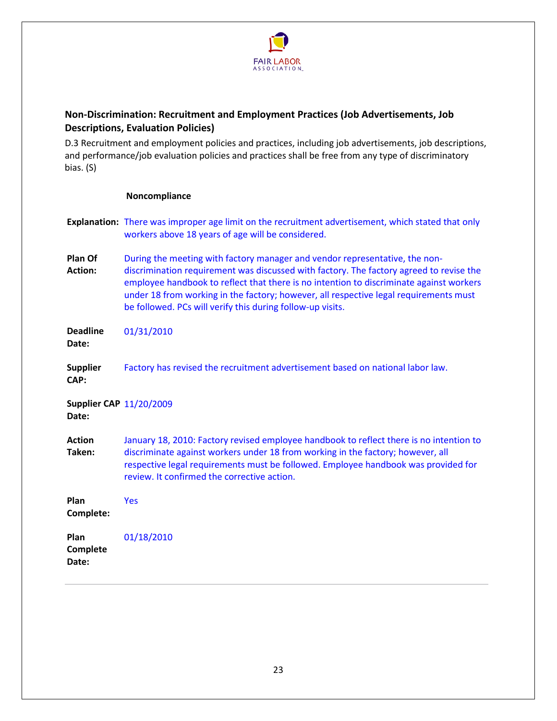

# <span id="page-22-0"></span>**Non-Discrimination: Recruitment and Employment Practices (Job Advertisements, Job Descriptions, Evaluation Policies)**

D.3 Recruitment and employment policies and practices, including job advertisements, job descriptions, and performance/job evaluation policies and practices shall be free from any type of discriminatory bias. (S)

## **Noncompliance**

|                                         | <b>Explanation:</b> There was improper age limit on the recruitment advertisement, which stated that only<br>workers above 18 years of age will be considered.                                                                                                                                                                                                                                                           |
|-----------------------------------------|--------------------------------------------------------------------------------------------------------------------------------------------------------------------------------------------------------------------------------------------------------------------------------------------------------------------------------------------------------------------------------------------------------------------------|
| Plan Of<br><b>Action:</b>               | During the meeting with factory manager and vendor representative, the non-<br>discrimination requirement was discussed with factory. The factory agreed to revise the<br>employee handbook to reflect that there is no intention to discriminate against workers<br>under 18 from working in the factory; however, all respective legal requirements must<br>be followed. PCs will verify this during follow-up visits. |
| <b>Deadline</b><br>Date:                | 01/31/2010                                                                                                                                                                                                                                                                                                                                                                                                               |
| <b>Supplier</b><br>CAP:                 | Factory has revised the recruitment advertisement based on national labor law.                                                                                                                                                                                                                                                                                                                                           |
| <b>Supplier CAP 11/20/2009</b><br>Date: |                                                                                                                                                                                                                                                                                                                                                                                                                          |
| <b>Action</b><br>Taken:                 | January 18, 2010: Factory revised employee handbook to reflect there is no intention to<br>discriminate against workers under 18 from working in the factory; however, all<br>respective legal requirements must be followed. Employee handbook was provided for<br>review. It confirmed the corrective action.                                                                                                          |
| Plan<br>Complete:                       | <b>Yes</b>                                                                                                                                                                                                                                                                                                                                                                                                               |
|                                         |                                                                                                                                                                                                                                                                                                                                                                                                                          |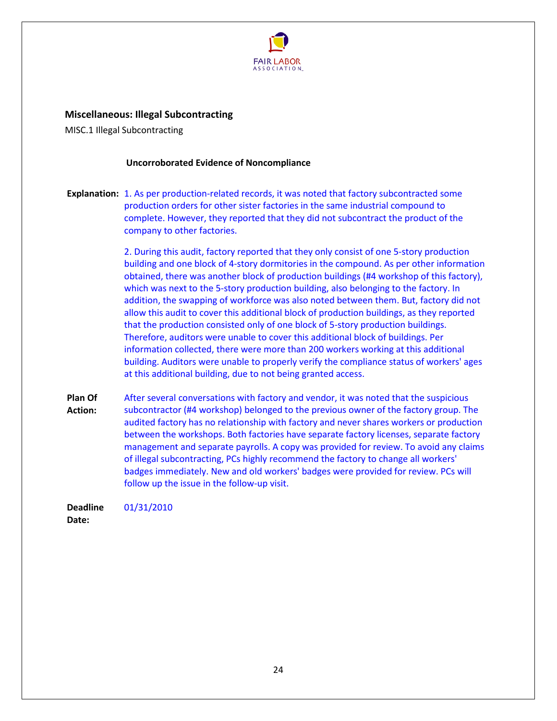

<span id="page-23-0"></span>**Miscellaneous: Illegal Subcontracting**

MISC.1 Illegal Subcontracting

#### **Uncorroborated Evidence of Noncompliance**

**Explanation:** 1. As per production-related records, it was noted that factory subcontracted some production orders for other sister factories in the same industrial compound to complete. However, they reported that they did not subcontract the product of the company to other factories.

> 2. During this audit, factory reported that they only consist of one 5-story production building and one block of 4-story dormitories in the compound. As per other information obtained, there was another block of production buildings (#4 workshop of this factory), which was next to the 5-story production building, also belonging to the factory. In addition, the swapping of workforce was also noted between them. But, factory did not allow this audit to cover this additional block of production buildings, as they reported that the production consisted only of one block of 5-story production buildings. Therefore, auditors were unable to cover this additional block of buildings. Per information collected, there were more than 200 workers working at this additional building. Auditors were unable to properly verify the compliance status of workers' ages at this additional building, due to not being granted access.

**Plan Of Action:**  After several conversations with factory and vendor, it was noted that the suspicious subcontractor (#4 workshop) belonged to the previous owner of the factory group. The audited factory has no relationship with factory and never shares workers or production between the workshops. Both factories have separate factory licenses, separate factory management and separate payrolls. A copy was provided for review. To avoid any claims of illegal subcontracting, PCs highly recommend the factory to change all workers' badges immediately. New and old workers' badges were provided for review. PCs will follow up the issue in the follow-up visit.

**Deadline**  01/31/2010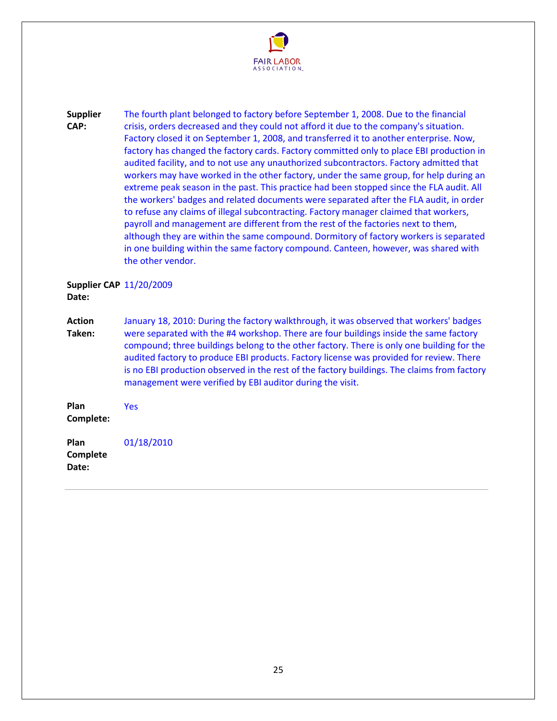

**Supplier CAP:**  The fourth plant belonged to factory before September 1, 2008. Due to the financial crisis, orders decreased and they could not afford it due to the company's situation. Factory closed it on September 1, 2008, and transferred it to another enterprise. Now, factory has changed the factory cards. Factory committed only to place EBI production in audited facility, and to not use any unauthorized subcontractors. Factory admitted that workers may have worked in the other factory, under the same group, for help during an extreme peak season in the past. This practice had been stopped since the FLA audit. All the workers' badges and related documents were separated after the FLA audit, in order to refuse any claims of illegal subcontracting. Factory manager claimed that workers, payroll and management are different from the rest of the factories next to them, although they are within the same compound. Dormitory of factory workers is separated in one building within the same factory compound. Canteen, however, was shared with the other vendor.

**Supplier CAP**  11/20/2009 **Date:** 

**Action Taken:**  January 18, 2010: During the factory walkthrough, it was observed that workers' badges were separated with the #4 workshop. There are four buildings inside the same factory compound; three buildings belong to the other factory. There is only one building for the audited factory to produce EBI products. Factory license was provided for review. There is no EBI production observed in the rest of the factory buildings. The claims from factory management were verified by EBI auditor during the visit.

**Plan Complete:**  Yes **Plan**  01/18/2010

**Complete Date:**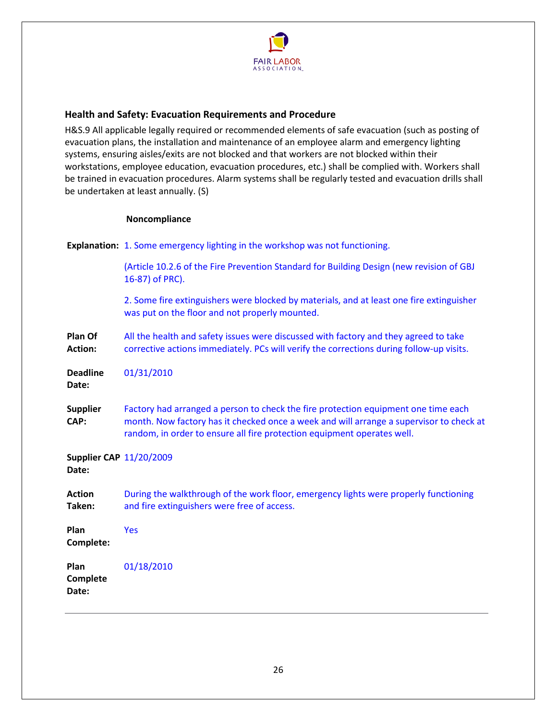

# <span id="page-25-0"></span>**Health and Safety: Evacuation Requirements and Procedure**

H&S.9 All applicable legally required or recommended elements of safe evacuation (such as posting of evacuation plans, the installation and maintenance of an employee alarm and emergency lighting systems, ensuring aisles/exits are not blocked and that workers are not blocked within their workstations, employee education, evacuation procedures, etc.) shall be complied with. Workers shall be trained in evacuation procedures. Alarm systems shall be regularly tested and evacuation drills shall be undertaken at least annually. (S)

# **Noncompliance**

**Explanation:** 1. Some emergency lighting in the workshop was not functioning. (Article 10.2.6 of the Fire Prevention Standard for Building Design (new revision of GBJ 16-87) of PRC). 2. Some fire extinguishers were blocked by materials, and at least one fire extinguisher was put on the floor and not properly mounted. **Plan Of Action:**  All the health and safety issues were discussed with factory and they agreed to take corrective actions immediately. PCs will verify the corrections during follow-up visits. **Deadline Date:**  01/31/2010 **Supplier CAP:**  Factory had arranged a person to check the fire protection equipment one time each month. Now factory has it checked once a week and will arrange a supervisor to check at random, in order to ensure all fire protection equipment operates well. **Supplier CAP**  11/20/2009 **Date: Action Taken:**  During the walkthrough of the work floor, emergency lights were properly functioning and fire extinguishers were free of access. **Plan Complete:**  Yes **Plan Complete Date:**  01/18/2010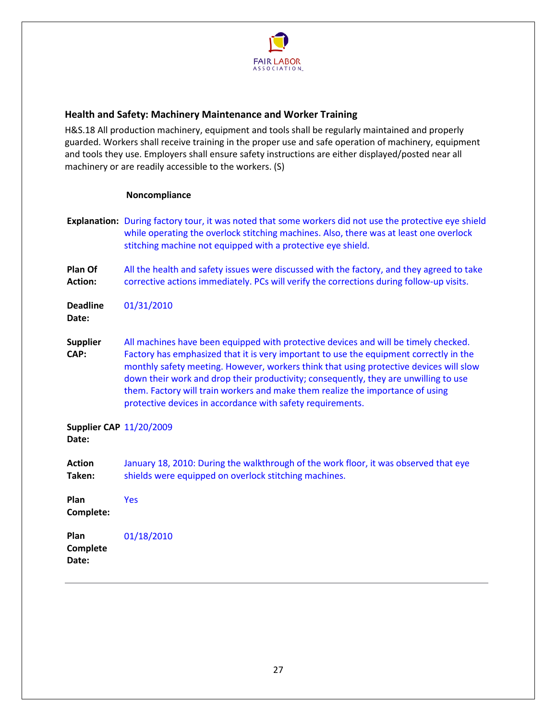

# <span id="page-26-0"></span>**Health and Safety: Machinery Maintenance and Worker Training**

H&S.18 All production machinery, equipment and tools shall be regularly maintained and properly guarded. Workers shall receive training in the proper use and safe operation of machinery, equipment and tools they use. Employers shall ensure safety instructions are either displayed/posted near all machinery or are readily accessible to the workers. (S)

## **Noncompliance**

|                                         | Explanation: During factory tour, it was noted that some workers did not use the protective eye shield<br>while operating the overlock stitching machines. Also, there was at least one overlock<br>stitching machine not equipped with a protective eye shield.                                                                                                                                                                                                                                                |
|-----------------------------------------|-----------------------------------------------------------------------------------------------------------------------------------------------------------------------------------------------------------------------------------------------------------------------------------------------------------------------------------------------------------------------------------------------------------------------------------------------------------------------------------------------------------------|
| Plan Of<br><b>Action:</b>               | All the health and safety issues were discussed with the factory, and they agreed to take<br>corrective actions immediately. PCs will verify the corrections during follow-up visits.                                                                                                                                                                                                                                                                                                                           |
| <b>Deadline</b><br>Date:                | 01/31/2010                                                                                                                                                                                                                                                                                                                                                                                                                                                                                                      |
| <b>Supplier</b><br>CAP:                 | All machines have been equipped with protective devices and will be timely checked.<br>Factory has emphasized that it is very important to use the equipment correctly in the<br>monthly safety meeting. However, workers think that using protective devices will slow<br>down their work and drop their productivity; consequently, they are unwilling to use<br>them. Factory will train workers and make them realize the importance of using<br>protective devices in accordance with safety requirements. |
| <b>Supplier CAP 11/20/2009</b><br>Date: |                                                                                                                                                                                                                                                                                                                                                                                                                                                                                                                 |
| <b>Action</b><br>Taken:                 | January 18, 2010: During the walkthrough of the work floor, it was observed that eye<br>shields were equipped on overlock stitching machines.                                                                                                                                                                                                                                                                                                                                                                   |
| Plan<br>Complete:                       | <b>Yes</b>                                                                                                                                                                                                                                                                                                                                                                                                                                                                                                      |
| Plan<br>Complete                        | 01/18/2010                                                                                                                                                                                                                                                                                                                                                                                                                                                                                                      |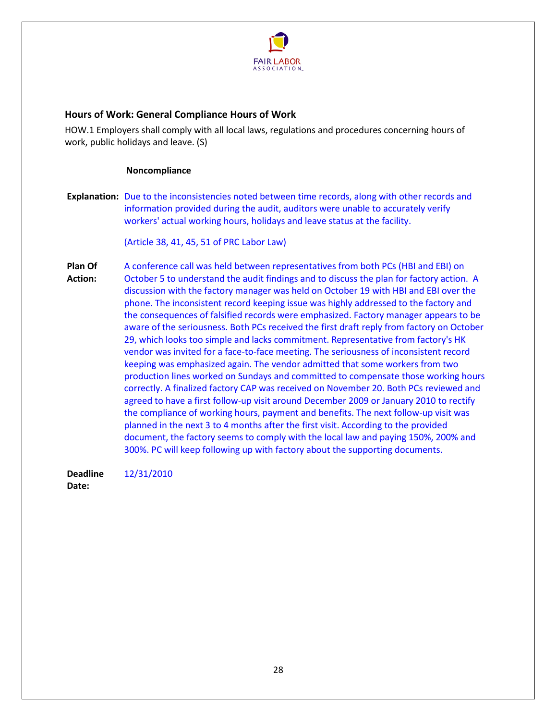

# <span id="page-27-0"></span>**Hours of Work: General Compliance Hours of Work**

HOW.1 Employers shall comply with all local laws, regulations and procedures concerning hours of work, public holidays and leave. (S)

#### **Noncompliance**

**Explanation:** Due to the inconsistencies noted between time records, along with other records and information provided during the audit, auditors were unable to accurately verify workers' actual working hours, holidays and leave status at the facility.

(Article 38, 41, 45, 51 of PRC Labor Law)

**Plan Of Action:**  A conference call was held between representatives from both PCs (HBI and EBI) on October 5 to understand the audit findings and to discuss the plan for factory action. A discussion with the factory manager was held on October 19 with HBI and EBI over the phone. The inconsistent record keeping issue was highly addressed to the factory and the consequences of falsified records were emphasized. Factory manager appears to be aware of the seriousness. Both PCs received the first draft reply from factory on October 29, which looks too simple and lacks commitment. Representative from factory's HK vendor was invited for a face-to-face meeting. The seriousness of inconsistent record keeping was emphasized again. The vendor admitted that some workers from two production lines worked on Sundays and committed to compensate those working hours correctly. A finalized factory CAP was received on November 20. Both PCs reviewed and agreed to have a first follow-up visit around December 2009 or January 2010 to rectify the compliance of working hours, payment and benefits. The next follow-up visit was planned in the next 3 to 4 months after the first visit. According to the provided document, the factory seems to comply with the local law and paying 150%, 200% and 300%. PC will keep following up with factory about the supporting documents.

**Deadline**  12/31/2010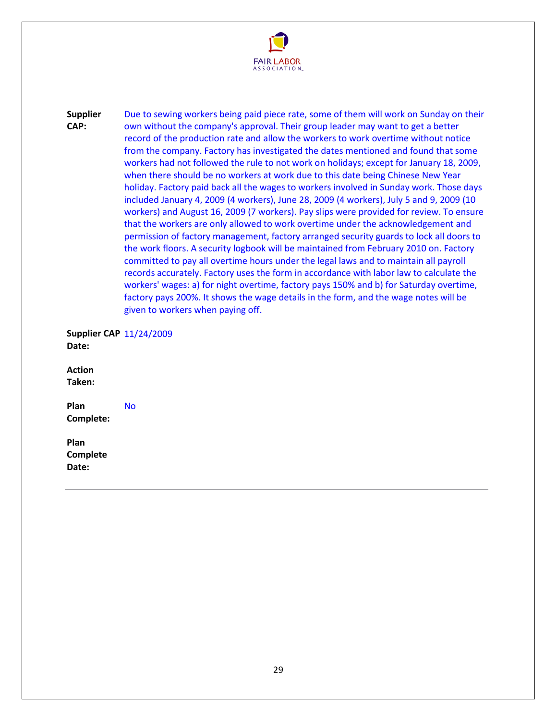

**Supplier CAP:**  Due to sewing workers being paid piece rate, some of them will work on Sunday on their own without the company's approval. Their group leader may want to get a better record of the production rate and allow the workers to work overtime without notice from the company. Factory has investigated the dates mentioned and found that some workers had not followed the rule to not work on holidays; except for January 18, 2009, when there should be no workers at work due to this date being Chinese New Year holiday. Factory paid back all the wages to workers involved in Sunday work. Those days included January 4, 2009 (4 workers), June 28, 2009 (4 workers), July 5 and 9, 2009 (10 workers) and August 16, 2009 (7 workers). Pay slips were provided for review. To ensure that the workers are only allowed to work overtime under the acknowledgement and permission of factory management, factory arranged security guards to lock all doors to the work floors. A security logbook will be maintained from February 2010 on. Factory committed to pay all overtime hours under the legal laws and to maintain all payroll records accurately. Factory uses the form in accordance with labor law to calculate the workers' wages: a) for night overtime, factory pays 150% and b) for Saturday overtime, factory pays 200%. It shows the wage details in the form, and the wage notes will be given to workers when paying off.

**Supplier CAP**  11/24/2009 **Date:** 

**Action Taken:** 

**Plan Complete:**  No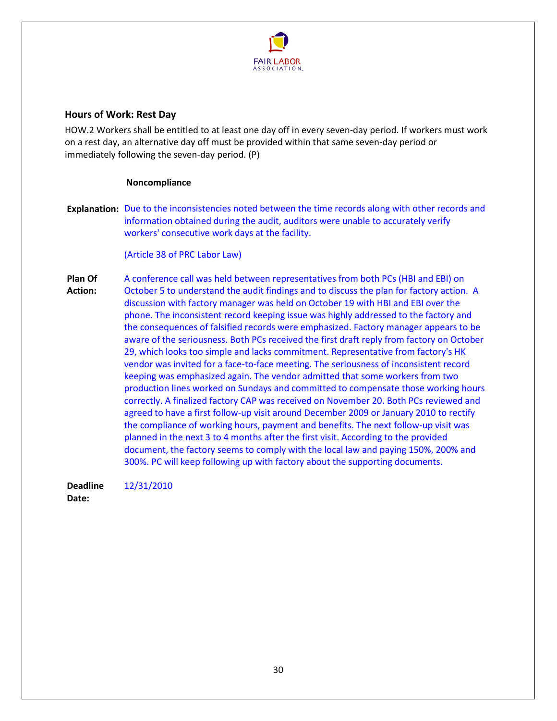

# <span id="page-29-0"></span>**Hours of Work: Rest Day**

HOW.2 Workers shall be entitled to at least one day off in every seven-day period. If workers must work on a rest day, an alternative day off must be provided within that same seven-day period or immediately following the seven-day period. (P)

#### **Noncompliance**

**Explanation:** Due to the inconsistencies noted between the time records along with other records and information obtained during the audit, auditors were unable to accurately verify workers' consecutive work days at the facility.

(Article 38 of PRC Labor Law)

**Plan Of Action:**  A conference call was held between representatives from both PCs (HBI and EBI) on October 5 to understand the audit findings and to discuss the plan for factory action. A discussion with factory manager was held on October 19 with HBI and EBI over the phone. The inconsistent record keeping issue was highly addressed to the factory and the consequences of falsified records were emphasized. Factory manager appears to be aware of the seriousness. Both PCs received the first draft reply from factory on October 29, which looks too simple and lacks commitment. Representative from factory's HK vendor was invited for a face-to-face meeting. The seriousness of inconsistent record keeping was emphasized again. The vendor admitted that some workers from two production lines worked on Sundays and committed to compensate those working hours correctly. A finalized factory CAP was received on November 20. Both PCs reviewed and agreed to have a first follow-up visit around December 2009 or January 2010 to rectify the compliance of working hours, payment and benefits. The next follow-up visit was planned in the next 3 to 4 months after the first visit. According to the provided document, the factory seems to comply with the local law and paying 150%, 200% and 300%. PC will keep following up with factory about the supporting documents.

**Deadline**  12/31/2010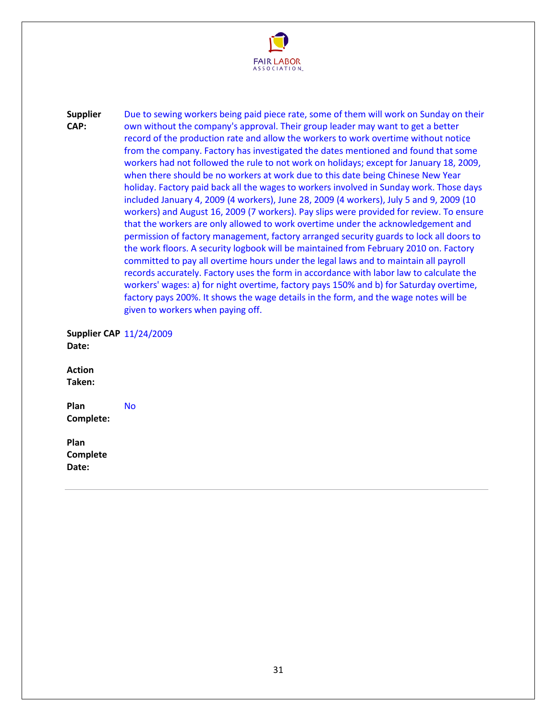

**Supplier CAP:**  Due to sewing workers being paid piece rate, some of them will work on Sunday on their own without the company's approval. Their group leader may want to get a better record of the production rate and allow the workers to work overtime without notice from the company. Factory has investigated the dates mentioned and found that some workers had not followed the rule to not work on holidays; except for January 18, 2009, when there should be no workers at work due to this date being Chinese New Year holiday. Factory paid back all the wages to workers involved in Sunday work. Those days included January 4, 2009 (4 workers), June 28, 2009 (4 workers), July 5 and 9, 2009 (10 workers) and August 16, 2009 (7 workers). Pay slips were provided for review. To ensure that the workers are only allowed to work overtime under the acknowledgement and permission of factory management, factory arranged security guards to lock all doors to the work floors. A security logbook will be maintained from February 2010 on. Factory committed to pay all overtime hours under the legal laws and to maintain all payroll records accurately. Factory uses the form in accordance with labor law to calculate the workers' wages: a) for night overtime, factory pays 150% and b) for Saturday overtime, factory pays 200%. It shows the wage details in the form, and the wage notes will be given to workers when paying off.

**Supplier CAP**  11/24/2009 **Date:** 

**Action Taken:** 

**Plan Complete:**  No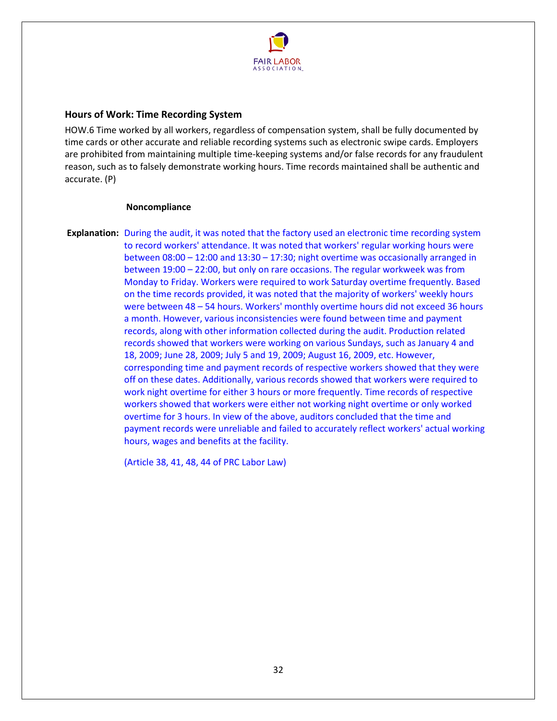

# <span id="page-31-0"></span>**Hours of Work: Time Recording System**

HOW.6 Time worked by all workers, regardless of compensation system, shall be fully documented by time cards or other accurate and reliable recording systems such as electronic swipe cards. Employers are prohibited from maintaining multiple time-keeping systems and/or false records for any fraudulent reason, such as to falsely demonstrate working hours. Time records maintained shall be authentic and accurate. (P)

#### **Noncompliance**

**Explanation:** During the audit, it was noted that the factory used an electronic time recording system to record workers' attendance. It was noted that workers' regular working hours were between 08:00 – 12:00 and 13:30 – 17:30; night overtime was occasionally arranged in between 19:00 – 22:00, but only on rare occasions. The regular workweek was from Monday to Friday. Workers were required to work Saturday overtime frequently. Based on the time records provided, it was noted that the majority of workers' weekly hours were between 48 – 54 hours. Workers' monthly overtime hours did not exceed 36 hours a month. However, various inconsistencies were found between time and payment records, along with other information collected during the audit. Production related records showed that workers were working on various Sundays, such as January 4 and 18, 2009; June 28, 2009; July 5 and 19, 2009; August 16, 2009, etc. However, corresponding time and payment records of respective workers showed that they were off on these dates. Additionally, various records showed that workers were required to work night overtime for either 3 hours or more frequently. Time records of respective workers showed that workers were either not working night overtime or only worked overtime for 3 hours. In view of the above, auditors concluded that the time and payment records were unreliable and failed to accurately reflect workers' actual working hours, wages and benefits at the facility.

(Article 38, 41, 48, 44 of PRC Labor Law)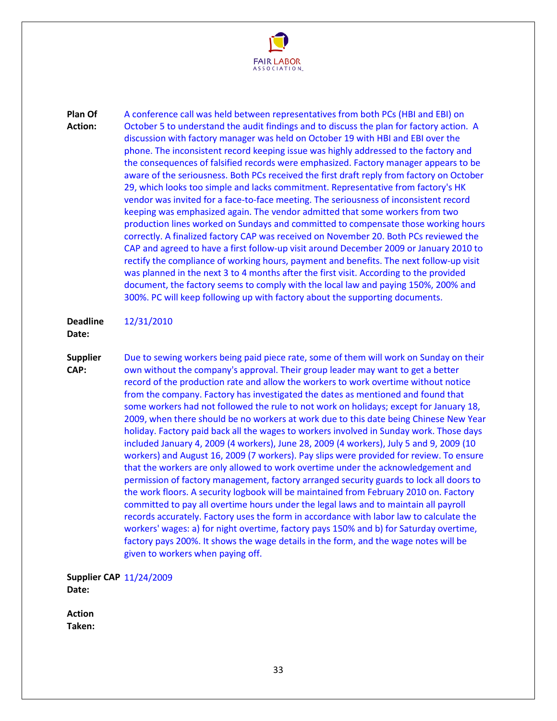

**Plan Of Action:**  A conference call was held between representatives from both PCs (HBI and EBI) on October 5 to understand the audit findings and to discuss the plan for factory action. A discussion with factory manager was held on October 19 with HBI and EBI over the phone. The inconsistent record keeping issue was highly addressed to the factory and the consequences of falsified records were emphasized. Factory manager appears to be aware of the seriousness. Both PCs received the first draft reply from factory on October 29, which looks too simple and lacks commitment. Representative from factory's HK vendor was invited for a face-to-face meeting. The seriousness of inconsistent record keeping was emphasized again. The vendor admitted that some workers from two production lines worked on Sundays and committed to compensate those working hours correctly. A finalized factory CAP was received on November 20. Both PCs reviewed the CAP and agreed to have a first follow-up visit around December 2009 or January 2010 to rectify the compliance of working hours, payment and benefits. The next follow-up visit was planned in the next 3 to 4 months after the first visit. According to the provided document, the factory seems to comply with the local law and paying 150%, 200% and 300%. PC will keep following up with factory about the supporting documents.

**Deadline**  12/31/2010

**Date:** 

**CAP:** 

**Supplier**  Due to sewing workers being paid piece rate, some of them will work on Sunday on their own without the company's approval. Their group leader may want to get a better record of the production rate and allow the workers to work overtime without notice from the company. Factory has investigated the dates as mentioned and found that some workers had not followed the rule to not work on holidays; except for January 18, 2009, when there should be no workers at work due to this date being Chinese New Year holiday. Factory paid back all the wages to workers involved in Sunday work. Those days included January 4, 2009 (4 workers), June 28, 2009 (4 workers), July 5 and 9, 2009 (10 workers) and August 16, 2009 (7 workers). Pay slips were provided for review. To ensure that the workers are only allowed to work overtime under the acknowledgement and permission of factory management, factory arranged security guards to lock all doors to the work floors. A security logbook will be maintained from February 2010 on. Factory committed to pay all overtime hours under the legal laws and to maintain all payroll records accurately. Factory uses the form in accordance with labor law to calculate the workers' wages: a) for night overtime, factory pays 150% and b) for Saturday overtime, factory pays 200%. It shows the wage details in the form, and the wage notes will be given to workers when paying off.

**Supplier CAP**  11/24/2009 **Date:** 

**Action Taken:**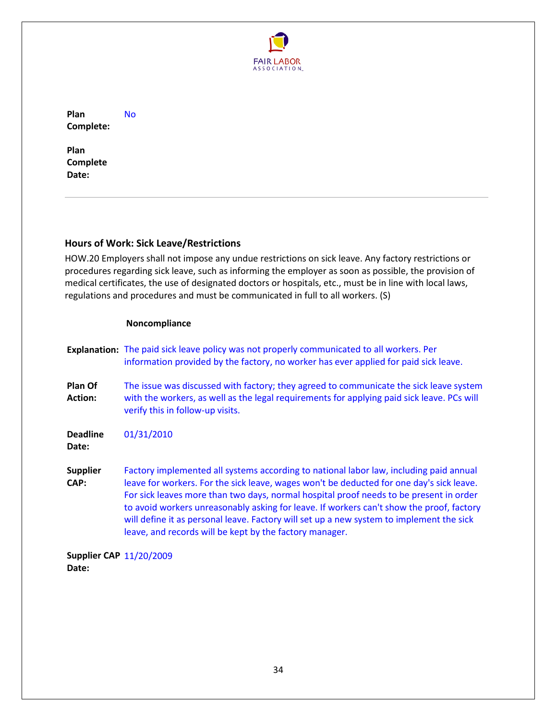

**Plan Complete:**  No

**Plan Complete Date:** 

# <span id="page-33-0"></span>**Hours of Work: Sick Leave/Restrictions**

HOW.20 Employers shall not impose any undue restrictions on sick leave. Any factory restrictions or procedures regarding sick leave, such as informing the employer as soon as possible, the provision of medical certificates, the use of designated doctors or hospitals, etc., must be in line with local laws, regulations and procedures and must be communicated in full to all workers. (S)

# **Noncompliance**

|                                | <b>Explanation:</b> The paid sick leave policy was not properly communicated to all workers. Per<br>information provided by the factory, no worker has ever applied for paid sick leave.                                                                                                                                                                                                                                                                                                                                        |
|--------------------------------|---------------------------------------------------------------------------------------------------------------------------------------------------------------------------------------------------------------------------------------------------------------------------------------------------------------------------------------------------------------------------------------------------------------------------------------------------------------------------------------------------------------------------------|
| Plan Of<br><b>Action:</b>      | The issue was discussed with factory; they agreed to communicate the sick leave system<br>with the workers, as well as the legal requirements for applying paid sick leave. PCs will<br>verify this in follow-up visits.                                                                                                                                                                                                                                                                                                        |
| <b>Deadline</b><br>Date:       | 01/31/2010                                                                                                                                                                                                                                                                                                                                                                                                                                                                                                                      |
| <b>Supplier</b><br>CAP:        | Factory implemented all systems according to national labor law, including paid annual<br>leave for workers. For the sick leave, wages won't be deducted for one day's sick leave.<br>For sick leaves more than two days, normal hospital proof needs to be present in order<br>to avoid workers unreasonably asking for leave. If workers can't show the proof, factory<br>will define it as personal leave. Factory will set up a new system to implement the sick<br>leave, and records will be kept by the factory manager. |
| <b>Supplier CAP 11/20/2009</b> |                                                                                                                                                                                                                                                                                                                                                                                                                                                                                                                                 |